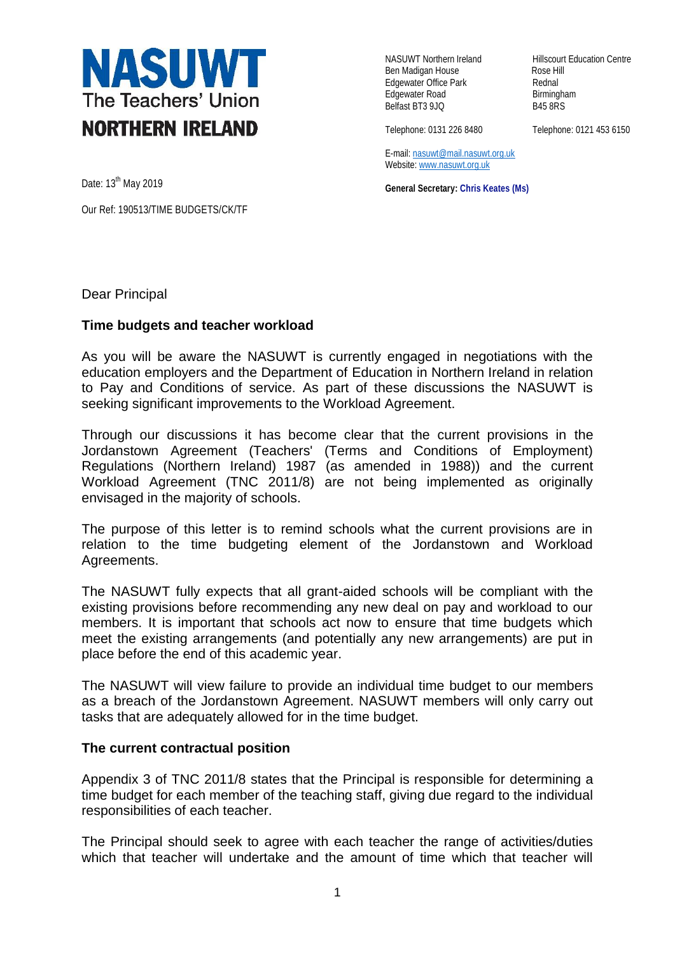

Ben Madigan House **Rose Hill** Edgewater Office Park **Rednal** Edgewater Road Birmingham<br>Belfast BT3 9JQ B45 8RS Belfast BT3 9JQ

NASUWT Northern Ireland Hillscourt Education Centre

Telephone: 0131 226 8480 Telephone: 0121 453 6150

E-mail[: nasuwt@mail.nasuwt.org.uk](mailto:nasuwt@mail.nasuwt.org.uk) Website: [www.nasuwt.org.uk](http://www.nasuwt.org.uk/)

**General Secretary: Chris Keates (Ms)**

Date: 13<sup>th</sup> May 2019

Our Ref: 190513/TIME BUDGETS/CK/TF

Dear Principal

## **Time budgets and teacher workload**

As you will be aware the NASUWT is currently engaged in negotiations with the education employers and the Department of Education in Northern Ireland in relation to Pay and Conditions of service. As part of these discussions the NASUWT is seeking significant improvements to the Workload Agreement.

Through our discussions it has become clear that the current provisions in the Jordanstown Agreement (Teachers' (Terms and Conditions of Employment) Regulations (Northern Ireland) 1987 (as amended in 1988)) and the current Workload Agreement (TNC 2011/8) are not being implemented as originally envisaged in the majority of schools.

The purpose of this letter is to remind schools what the current provisions are in relation to the time budgeting element of the Jordanstown and Workload Agreements.

The NASUWT fully expects that all grant-aided schools will be compliant with the existing provisions before recommending any new deal on pay and workload to our members. It is important that schools act now to ensure that time budgets which meet the existing arrangements (and potentially any new arrangements) are put in place before the end of this academic year.

The NASUWT will view failure to provide an individual time budget to our members as a breach of the Jordanstown Agreement. NASUWT members will only carry out tasks that are adequately allowed for in the time budget.

## **The current contractual position**

Appendix 3 of TNC 2011/8 states that the Principal is responsible for determining a time budget for each member of the teaching staff, giving due regard to the individual responsibilities of each teacher.

The Principal should seek to agree with each teacher the range of activities/duties which that teacher will undertake and the amount of time which that teacher will